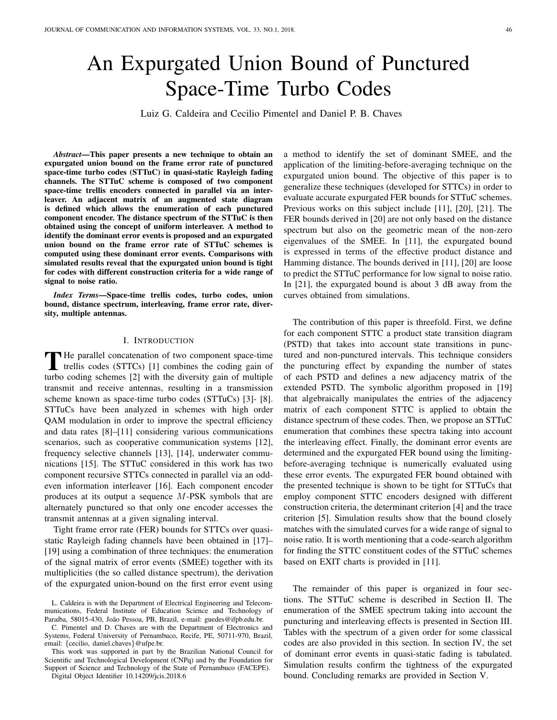# An Expurgated Union Bound of Punctured Space-Time Turbo Codes

Luiz G. Caldeira and Cecilio Pimentel and Daniel P. B. Chaves

*Abstract*—This paper presents a new technique to obtain an expurgated union bound on the frame error rate of punctured space-time turbo codes (STTuC) in quasi-static Rayleigh fading channels. The STTuC scheme is composed of two component space-time trellis encoders connected in parallel via an interleaver. An adjacent matrix of an augmented state diagram is defined which allows the enumeration of each punctured component encoder. The distance spectrum of the STTuC is then obtained using the concept of uniform interleaver. A method to identify the dominant error events is proposed and an expurgated union bound on the frame error rate of STTuC schemes is computed using these dominant error events. Comparisons with simulated results reveal that the expurgated union bound is tight for codes with different construction criteria for a wide range of signal to noise ratio.

*Index Terms*—Space-time trellis codes, turbo codes, union bound, distance spectrum, interleaving, frame error rate, diversity, multiple antennas.

## I. INTRODUCTION

The parallel concatenation of two component space-time<br>trellis codes (STTCs) [1] combines the coding gain of  $\blacksquare$  He parallel concatenation of two component space-time turbo coding schemes [2] with the diversity gain of multiple transmit and receive antennas, resulting in a transmission scheme known as space-time turbo codes (STTuCs) [3]- [8]. STTuCs have been analyzed in schemes with high order QAM modulation in order to improve the spectral efficiency and data rates [8]–[11] considering various communications scenarios, such as cooperative communication systems [12], frequency selective channels [13], [14], underwater communications [15]. The STTuC considered in this work has two component recursive STTCs connected in parallel via an oddeven information interleaver [16]. Each component encoder produces at its output a sequence M-PSK symbols that are alternately punctured so that only one encoder accesses the transmit antennas at a given signaling interval.

Tight frame error rate (FER) bounds for STTCs over quasistatic Rayleigh fading channels have been obtained in [17]– [19] using a combination of three techniques: the enumeration of the signal matrix of error events (SMEE) together with its multiplicities (the so called distance spectrum), the derivation of the expurgated union-bound on the first error event using

C. Pimentel and D. Chaves are with the Department of Electronics and Systems, Federal University of Pernambuco, Recife, PE, 50711-970, Brazil, email: {cecilio, daniel.chaves}@ufpe.br.

This work was supported in part by the Brazilian National Council for Scientific and Technological Development (CNPq) and by the Foundation for Support of Science and Technology of the State of Pernambuco (FACEPE).

Digital Object Identifier 10.14209/jcis.2018.6

a method to identify the set of dominant SMEE, and the application of the limiting-before-averaging technique on the expurgated union bound. The objective of this paper is to generalize these techniques (developed for STTCs) in order to evaluate accurate expurgated FER bounds for STTuC schemes. Previous works on this subject include [11], [20], [21]. The FER bounds derived in [20] are not only based on the distance spectrum but also on the geometric mean of the non-zero eigenvalues of the SMEE. In [11], the expurgated bound is expressed in terms of the effective product distance and Hamming distance. The bounds derived in [11], [20] are loose to predict the STTuC performance for low signal to noise ratio. In [21], the expurgated bound is about 3 dB away from the curves obtained from simulations.

The contribution of this paper is threefold. First, we define for each component STTC a product state transition diagram (PSTD) that takes into account state transitions in punctured and non-punctured intervals. This technique considers the puncturing effect by expanding the number of states of each PSTD and defines a new adjacency matrix of the extended PSTD. The symbolic algorithm proposed in [19] that algebraically manipulates the entries of the adjacency matrix of each component STTC is applied to obtain the distance spectrum of these codes. Then, we propose an STTuC enumeration that combines these spectra taking into account the interleaving effect. Finally, the dominant error events are determined and the expurgated FER bound using the limitingbefore-averaging technique is numerically evaluated using these error events. The expurgated FER bound obtained with the presented technique is shown to be tight for STTuCs that employ component STTC encoders designed with different construction criteria, the determinant criterion [4] and the trace criterion [5]. Simulation results show that the bound closely matches with the simulated curves for a wide range of signal to noise ratio. It is worth mentioning that a code-search algorithm for finding the STTC constituent codes of the STTuC schemes based on EXIT charts is provided in [11].

The remainder of this paper is organized in four sections. The STTuC scheme is described in Section II. The enumeration of the SMEE spectrum taking into account the puncturing and interleaving effects is presented in Section III. Tables with the spectrum of a given order for some classical codes are also provided in this section. In section IV, the set of dominant error events in quasi-static fading is tabulated. Simulation results confirm the tightness of the expurgated bound. Concluding remarks are provided in Section V.

L. Caldeira is with the Department of Electrical Engineering and Telecommunications, Federal Institute of Education Science and Technology of Paraíba, 58015-430, João Pessoa, PB, Brazil, e-mail: guedes@ifpb.edu.br.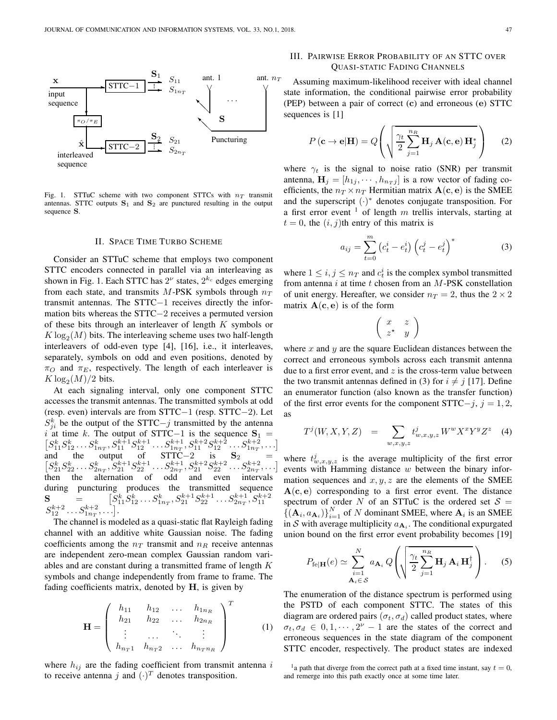

Fig. 1. STTuC scheme with two component STTCs with  $n_T$  transmit antennas. STTC outputs  $S_1$  and  $S_2$  are punctured resulting in the output sequence S.

#### II. SPACE TIME TURBO SCHEME

Consider an STTuC scheme that employs two component STTC encoders connected in parallel via an interleaving as shown in Fig. 1. Each STTC has  $2^{\nu}$  states,  $2^{k_c}$  edges emerging from each state, and transmits M-PSK symbols through  $n_T$ transmit antennas. The STTC−1 receives directly the information bits whereas the STTC−2 receives a permuted version of these bits through an interleaver of length  $K$  symbols or  $K \log_2(M)$  bits. The interleaving scheme uses two half-length interleavers of odd-even type [4], [16], i.e., it interleaves, separately, symbols on odd and even positions, denoted by  $\pi$ <sup>O</sup> and  $\pi$ <sub>E</sub>, respectively. The length of each interleaver is  $K \log_2(M)/2$  bits.

At each signaling interval, only one component STTC accesses the transmit antennas. The transmitted symbols at odd (resp. even) intervals are from STTC−1 (resp. STTC−2). Let  $S_{ji}^k$  be the output of the STTC $-j$  transmitted by the antenna i at time k. The output of STTC−1 is the sequence  $S_1$  =  $[S_{11}^k S_{12}^k \dots S_{1n_T}^k, S_{11}^{k+1} S_{12}^{k+1} \dots S_{1n_T}^{k+1}, S_{11}^{k+2} S_{12}^{k+2} \dots S_{1n_T}^{k+2}, \dots]$ and the output of  $STTC-2$  is  $S_2$  =  $\left[ S_{21}^k S_{22}^k \ldots S_{2n_T}^k, S_{21}^{k+1} S_{22}^{k+1} \ldots S_{2n_T}^{k+1}, S_{21}^{k+2} S_{22}^{k+2} \ldots S_{2n_T}^{k+2}, \ldots \right]$ then the alternation of odd and even intervals during puncturing produces the transmitted sequence  $\mathbf{S} = \begin{bmatrix} S_{11}^k S_{12}^k \dots S_{1n_T}^k, S_{21}^{k+1} S_{22}^{k+1} \dots S_{2n_T}^{k+1}, S_{11}^{k+2} \end{bmatrix}$  $S_{12}^{k+2} \dots S_{1n}^{k+2}, \dots$ .

The channel is modeled as a quasi-static flat Rayleigh fading channel with an additive white Gaussian noise. The fading coefficients among the  $n_T$  transmit and  $n_R$  receive antennas are independent zero-mean complex Gaussian random variables and are constant during a transmitted frame of length K symbols and change independently from frame to frame. The fading coefficients matrix, denoted by  $H$ , is given by

$$
\mathbf{H} = \begin{pmatrix} h_{11} & h_{12} & \dots & h_{1n_R} \\ h_{21} & h_{22} & \dots & h_{2n_R} \\ \vdots & \dots & \ddots & \vdots \\ h_{n_T 1} & h_{n_T 2} & \dots & h_{n_T n_R} \end{pmatrix}^T
$$
 (1)

where  $h_{ij}$  are the fading coefficient from transmit antenna i to receive antenna j and  $(\cdot)^T$  denotes transposition.

# III. PAIRWISE ERROR PROBABILITY OF AN STTC OVER QUASI-STATIC FADING CHANNELS

Assuming maximum-likelihood receiver with ideal channel state information, the conditional pairwise error probability (PEP) between a pair of correct (c) and erroneous (e) STTC sequences is [1]

$$
P(\mathbf{c} \to \mathbf{e}|\mathbf{H}) = Q\left(\sqrt{\frac{\gamma_t}{2} \sum_{j=1}^{n_R} \mathbf{H}_j \mathbf{A}(\mathbf{c}, \mathbf{e}) \mathbf{H}_j^*}\right) \quad (2)
$$

where  $\gamma_t$  is the signal to noise ratio (SNR) per transmit antenna,  $\mathbf{H}_j = [h_{1j}, \cdots, h_{n_Tj}]$  is a row vector of fading coefficients, the  $n_T \times n_T$  Hermitian matrix  $\mathbf{A}(\mathbf{c}, \mathbf{e})$  is the SMEE and the superscript  $(·)*$  denotes conjugate transposition. For a first error event  $\frac{1}{1}$  of length m trellis intervals, starting at  $t = 0$ , the  $(i, j)$ th entry of this matrix is

$$
a_{ij} = \sum_{t=0}^{m} (c_t^i - e_t^i) (c_t^j - e_t^j)^*
$$
 (3)

where  $1 \le i, j \le n_T$  and  $c_t^i$  is the complex symbol transmitted from antenna  $i$  at time  $t$  chosen from an  $M$ -PSK constellation of unit energy. Hereafter, we consider  $n_T = 2$ , thus the  $2 \times 2$ matrix  $A(c, e)$  is of the form

$$
\left(\begin{array}{cc} x & z \\ z^* & y \end{array}\right)
$$

where  $x$  and  $y$  are the square Euclidean distances between the correct and erroneous symbols across each transmit antenna due to a first error event, and  $z$  is the cross-term value between the two transmit antennas defined in (3) for  $i \neq j$  [17]. Define an enumerator function (also known as the transfer function) of the first error events for the component STTC $-j$ ,  $j = 1, 2$ , as

$$
T^{j}(W, X, Y, Z) = \sum_{w,x,y,z} t^{j}_{w,x,y,z} W^{w} X^{x} Y^{y} Z^{z}
$$
 (4)

where  $t_{w,x,y,z}^{j}$  is the average multiplicity of the first error events with Hamming distance  $w$  between the binary information sequences and  $x, y, z$  are the elements of the SMEE  $A(c, e)$  corresponding to a first error event. The distance spectrum of order N of an STTuC is the ordered set  $S =$  $\{(\mathbf{A}_i, a_{\mathbf{A}_i})\}_{i=1}^N$  of N dominant SMEE, where  $\mathbf{A}_i$  is an SMEE in S with average multiplicity  $a_{\mathbf{A}_i}$ . The conditional expurgated union bound on the first error event probability becomes [19]

$$
P_{\text{fe}|\mathbf{H}}(e) \simeq \sum_{\substack{i=1 \ \mathbf{A}_i \in \mathcal{S}}}^{N} a_{\mathbf{A}_i} Q \left( \sqrt{\frac{\gamma_t}{2} \sum_{j=1}^{n_R} \mathbf{H}_j \mathbf{A}_i \mathbf{H}_j^{\dagger}} \right). \tag{5}
$$

The enumeration of the distance spectrum is performed using the PSTD of each component STTC. The states of this diagram are ordered pairs  $(\sigma_t, \sigma_d)$  called product states, where  $\sigma_t, \sigma_d \in [0, 1, \dots, 2^{\nu} - 1]$  are the states of the correct and erroneous sequences in the state diagram of the component STTC encoder, respectively. The product states are indexed

<sup>&</sup>lt;sup>1</sup> a path that diverge from the correct path at a fixed time instant, say  $t = 0$ , and remerge into this path exactly once at some time later.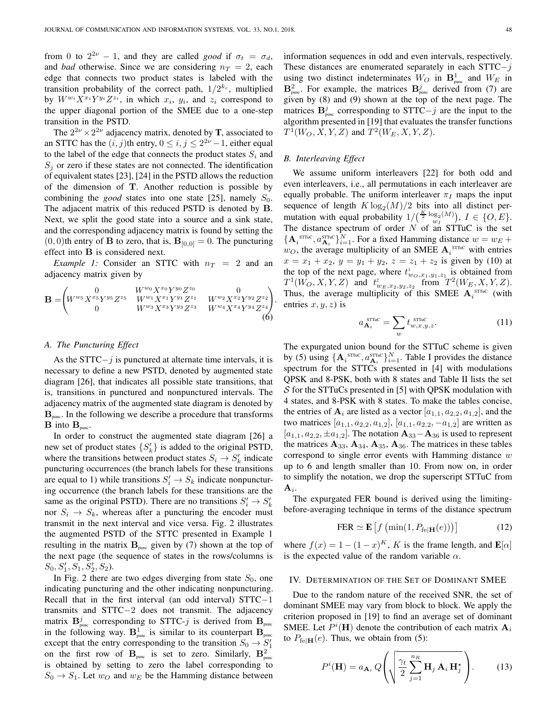from 0 to  $2^{2\nu} - 1$ , and they are called *good* if  $\sigma_t = \sigma_d$ , and *bad* otherwise. Since we are considering  $n_T = 2$ , each edge that connects two product states is labeled with the transition probability of the correct path,  $1/2^{k_c}$ , multiplied by  $W^{w_i} X^{x_i} Y^{y_i} Z^{z_i}$ , in which  $x_i$ ,  $y_i$ , and  $z_i$  correspond to the upper diagonal portion of the SMEE due to a one-step transition in the PSTD.

The  $2^{2\nu} \times 2^{2\nu}$  adjacency matrix, denoted by **T**, associated to an STTC has the  $(i, j)$ th entry,  $0 \le i, j \le 2^{2\nu} - 1$ , either equal to the label of the edge that connects the product states  $S_i$  and  $S_i$  or zero if these states are not connected. The identification of equivalent states [23], [24] in the PSTD allows the reduction of the dimension of T. Another reduction is possible by combining the *good* states into one state [25], namely  $S_0$ . The adjacent matrix of this reduced PSTD is denoted by B. Next, we split the good state into a source and a sink state, and the corresponding adjacency matrix is found by setting the  $(0, 0)$ th entry of **B** to zero, that is,  $\mathbf{B}_{[0,0]} = 0$ . The puncturing effect into B is considered next.

*Example 1:* Consider an STTC with  $n_T = 2$  and an adjacency matrix given by

$$
\mathbf{B} = \begin{pmatrix} 0 & W^{w_0} X^{x_0} Y^{y_0} Z^{z_0} & 0 \\ W^{w_5} X^{x_5} Y^{y_5} Z^{z_5} & W^{w_1} X^{x_1} Y^{y_1} Z^{z_1} & W^{w_2} X^{x_2} Y^{y_2} Z^{z_2} \\ 0 & W^{w_3} X^{x_3} Y^{y_3} Z^{z_3} & W^{w_4} X^{x_4} Y^{y_4} Z^{z_4} \end{pmatrix}
$$
(6)

#### *A. The Puncturing Effect*

As the STTC $-j$  is punctured at alternate time intervals, it is necessary to define a new PSTD, denoted by augmented state diagram [26], that indicates all possible state transitions, that is, transitions in punctured and nonpunctured intervals. The adjacency matrix of the augmented state diagram is denoted by  $B_{\text{pure}}$ . In the following we describe a procedure that transforms  $\mathbf{B}$  into  $\mathbf{B}_{pure}$ .

In order to construct the augmented state diagram [26] a new set of product states  $\{S'_k\}$  is added to the original PSTD, where the transitions between product states  $S_i \rightarrow S'_k$  indicate puncturing occurrences (the branch labels for these transitions are equal to 1) while transitions  $S_i' \to S_k$  indicate nonpuncturing occurrence (the branch labels for these transitions are the same as the original PSTD). There are no transitions  $S_i' \to S_k'$ nor  $S_i \rightarrow S_k$ , whereas after a puncturing the encoder must transmit in the next interval and vice versa. Fig. 2 illustrates the augmented PSTD of the STTC presented in Example 1 resulting in the matrix  $\mathbf{B}_{pure}$  given by (7) shown at the top of the next page (the sequence of states in the rows/columns is  $S_0, S'_1, S_1, S'_2, S_2$ .

In Fig. 2 there are two edges diverging from state  $S_0$ , one indicating puncturing and the other indicating nonpuncturing. Recall that in the first interval (an odd interval) STTC−1 transmits and STTC−2 does not transmit. The adjacency matrix  $\mathbf{B}_{\text{punc}}^j$  corresponding to STTC- $j$  is derived from  $\mathbf{B}_{\text{punc}}$ in the following way.  $\mathbf{B}_{\text{punc}}^1$  is similar to its counterpart  $\mathbf{B}_{\text{punc}}^1$ except that the entry corresponding to the transition  $S_0 \rightarrow S_1'$ on the first row of  $\mathbf{B}_{pure}$  is set to zero. Similarly,  $\mathbf{B}_{pure}^2$ is obtained by setting to zero the label corresponding to  $S_0 \rightarrow S_1$ . Let  $w_O$  and  $w_E$  be the Hamming distance between information sequences in odd and even intervals, respectively. These distances are enumerated separately in each STTC−j using two distinct indeterminates  $W_O$  in  $\mathbf{B}^1_{\text{pure}}$  and  $W_E$  in  $\mathbf{B}_{\text{punc}}^2$ . For example, the matrices  $\mathbf{B}_{\text{punc}}^j$  derived from (7) are given by (8) and (9) shown at the top of the next page. The matrices  $\mathbf{B}_{\text{punc}}^j$  corresponding to STTC $-j$  are the input to the algorithm presented in [19] that evaluates the transfer functions  $T^1(W_O, X, Y, Z)$  and  $T^2(W_E, X, Y, Z)$ .

## *B. Interleaving Effect*

.

We assume uniform interleavers [22] for both odd and even interleavers, i.e., all permutations in each interleaver are equally probable. The uniform interleaver  $\pi_I$  maps the input sequence of length  $K \log_2(M)/2$  bits into all distinct permutation with equal probability  $1/(\frac{K}{2} \log_2(M))$ ,  $I \in \{O, E\}$ . The distance spectrum of order  $N$  of an STTuC is the set  ${A_i}^{\text{STTuc}}, a_{\mathbf{A}_i}^{\text{STTuc}}\}_{i=1}^N$ . For a fixed Hamming distance  $w = w_E +$  $w_O$ , the average multiplicity of an SMEE  $A_i^{STTuc}$  with entries  $x = x_1 + x_2, y = y_1 + y_2, z = z_1 + z_2$  is given by (10) at the top of the next page, where  $t_{w_O,x_1,y_1,z_1}^{\perp}$  is obtained from  $T^1(W_O, X, Y, Z)$  and  $t^2_{w_E, x_2, y_2, z_2}$  from  $T^2(W_E, X, Y, Z)$ . Thus, the average multiplicity of this SMEE  $A_i^{\text{STTUC}}$  (with entries  $x, y, z$ ) is

$$
a_{\mathbf{A}_i}^{\text{SThc}} = \sum_{w} t_{w,x,y,z}^{\text{SThc}}.
$$
 (11)

The expurgated union bound for the STTuC scheme is given by (5) using  $\{\mathbf{A}_i^{\text{STTuc}}, a_{\mathbf{A}_i}^{\text{STTuc}}\}_{i=1}^N$ . Table I provides the distance spectrum for the STTCs presented in [4] with modulations QPSK and 8-PSK, both with 8 states and Table II lists the set  $S$  for the STTuCs presented in [5] with QPSK modulation with 4 states, and 8-PSK with 8 states. To make the tables concise, the entries of  $A_i$  are listed as a vector  $[a_{1,1}, a_{2,2}, a_{1,2}]$ , and the two matrices [ $a_{1,1}, a_{2,2}, a_{1,2}$ ], [ $a_{1,1}, a_{2,2}, -a_{1,2}$ ] are written as  $[a_{1,1}, a_{2,2}, \pm a_{1,2}]$ . The notation  $\mathbf{A}_{33} - \mathbf{A}_{36}$  is used to represent the matrices  $A_{33}$ ,  $A_{34}$ ,  $A_{35}$ ,  $A_{36}$ . The matrices in these tables correspond to single error events with Hamming distance  $w$ up to 6 and length smaller than 10. From now on, in order to simplify the notation, we drop the superscript STTuC from  $A_i$ .

The expurgated FER bound is derived using the limitingbefore-averaging technique in terms of the distance spectrum

$$
\text{FER} \simeq \mathbf{E} \left[ f \left( \min(1, P_{\text{fe}|\mathbf{H}}(e)) \right) \right] \tag{12}
$$

where  $f(x) = 1 - (1 - x)^{K}$ , K is the frame length, and  $\mathbf{E}[\alpha]$ is the expected value of the random variable  $\alpha$ .

#### IV. DETERMINATION OF THE SET OF DOMINANT SMEE

Due to the random nature of the received SNR, the set of dominant SMEE may vary from block to block. We apply the criterion proposed in [19] to find an average set of dominant SMEE. Let  $P^i(\mathbf{H})$  denote the contribution of each matrix  $\mathbf{A}_i$ to  $P_{\text{felH}}(e)$ . Thus, we obtain from (5):

$$
P^{i}(\mathbf{H}) = a_{\mathbf{A}_{i}} Q\left(\sqrt{\frac{\gamma_{t}}{2} \sum_{j=1}^{n_{R}} \mathbf{H}_{j} \mathbf{A}_{i} \mathbf{H}_{j}^{\star}}\right).
$$
 (13)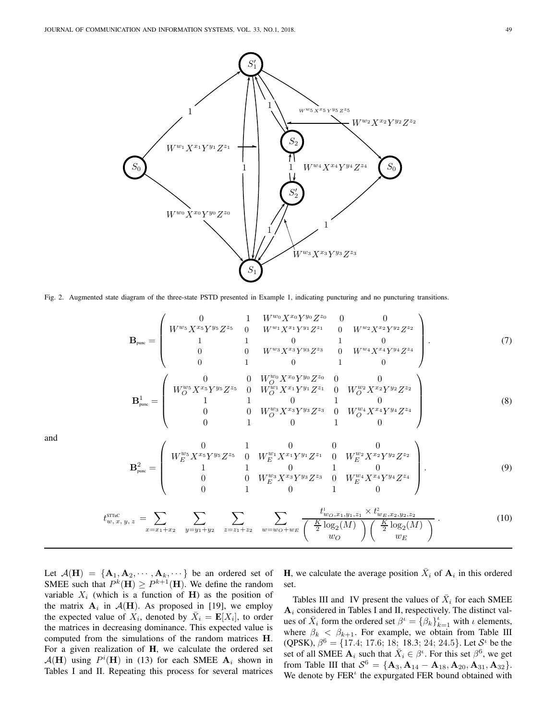

Fig. 2. Augmented state diagram of the three-state PSTD presented in Example 1, indicating puncturing and no puncturing transitions.

$$
\mathbf{B}_{pure} = \begin{pmatrix}\n0 & 1 & W^{w_0} X^{x_0} Y^{y_0} Z^{z_0} & 0 & 0 \\
W^{w_5} X^{x_5} Y^{y_5} Z^{z_5} & 0 & W^{w_1} X^{x_1} Y^{y_1} Z^{z_1} & 0 & W^{w_2} X^{x_2} Y^{y_2} Z^{z_2} \\
1 & 1 & 0 & 1 & 0 \\
0 & 0 & W^{w_3} X^{x_3} Y^{y_3} Z^{z_3} & 0 & W^{w_4} X^{x_4} Y^{y_4} Z^{z_4} \\
0 & 1 & 0 & 1 & 0\n\end{pmatrix}.
$$
\n
$$
\mathbf{B}_{pure}^1 = \begin{pmatrix}\n0 & 0 & W_0^{w_0} X^{x_0} Y^{y_0} Z^{z_0} & 0 & 0 \\
W_0^{w_5} X^{x_5} Y^{y_5} Z^{z_5} & 0 & W_0^{w_1} X^{x_1} Y^{y_1} Z^{z_1} & 0 & W_0^{w_2} X^{x_2} Y^{y_2} Z^{z_2} \\
1 & 1 & 0 & 1 & 0 \\
0 & 0 & W_0^{w_3} X^{x_3} Y^{y_3} Z^{z_3} & 0 & W_0^{w_4} X^{x_4} Y^{y_4} Z^{z_4} \\
0 & 1 & 0 & 1 & 0\n\end{pmatrix}
$$
\n(8)

and

$$
\mathbf{B}_{\text{punc}}^{2} = \begin{pmatrix} 0 & 1 & 0 & 0 & 0 \\ W_{E}^{w_{5}} X^{x_{5}} Y^{y_{5}} Z^{z_{5}} & 0 & W_{E}^{w_{1}} X^{x_{1}} Y^{y_{1}} Z^{z_{1}} & 0 & W_{E}^{w_{2}} X^{x_{2}} Y^{y_{2}} Z^{z_{2}} \\ 1 & 1 & 0 & 1 & 0 \\ 0 & 0 & W_{E}^{w_{3}} X^{x_{3}} Y^{y_{3}} Z^{z_{3}} & 0 & W_{E}^{w_{4}} X^{x_{4}} Y^{y_{4}} Z^{z_{4}} \\ 0 & 1 & 0 & 1 & 0 \end{pmatrix}.
$$
 (9)

$$
t_{w,x,y,z}^{\text{STTuc}} = \sum_{x=x_1+x_2} \sum_{y=y_1+y_2} \sum_{z=z_1+z_2} \sum_{w=w_0+w_E} \frac{t_{w_0,x_1,y_1,z_1}^1 \times t_{w_E,x_2,y_2,z_2}^2}{\left(\frac{K}{2} \log_2(M)\right)\left(\frac{K}{2} \log_2(M)\right)}.
$$
(10)

Let  $\mathcal{A}(\mathbf{H}) = {\mathbf{A}_1, \mathbf{A}_2, \cdots, \mathbf{A}_k, \cdots}$  be an ordered set of SMEE such that  $P^k(\mathbf{H}) \ge P^{k+1}(\mathbf{H})$ . We define the random variable  $X_i$  (which is a function of H) as the position of the matrix  $A_i$  in  $A(H)$ . As proposed in [19], we employ the expected value of  $X_i$ , denoted by  $\overline{X}_i = \mathbf{E}[X_i]$ , to order the matrices in decreasing dominance. This expected value is computed from the simulations of the random matrices H. For a given realization of  $H$ , we calculate the ordered set  $\mathcal{A}(\mathbf{H})$  using  $P^i(\mathbf{H})$  in (13) for each SMEE  $\mathbf{A}_i$  shown in Tables I and II. Repeating this process for several matrices

**H**, we calculate the average position  $\bar{X}_i$  of  $A_i$  in this ordered set.

Tables III and IV present the values of  $\bar{X}_i$  for each SMEE  $A_i$  considered in Tables I and II, respectively. The distinct values of  $\bar{X}_i$  form the ordered set  $\beta^i = {\beta_k}_{k=1}^i$  with  $\iota$  elements, where  $\beta_k < \beta_{k+1}$ . For example, we obtain from Table III (QPSK),  $\beta^6 = \{17.4; 17.6; 18; 18.3; 24; 24.5\}$ . Let  $S^{\iota}$  be the set of all SMEE  $A_i$  such that  $\bar{X}_i \in \beta^i$ . For this set  $\beta^6$ , we get from Table III that  $S^6 = {\bf{A}}_3, {\bf{A}}_{14} - {\bf{A}}_{18}, {\bf{A}}_{20}, {\bf{A}}_{31}, {\bf{A}}_{32}$ . We denote by  $FER<sup>t</sup>$  the expurgated FER bound obtained with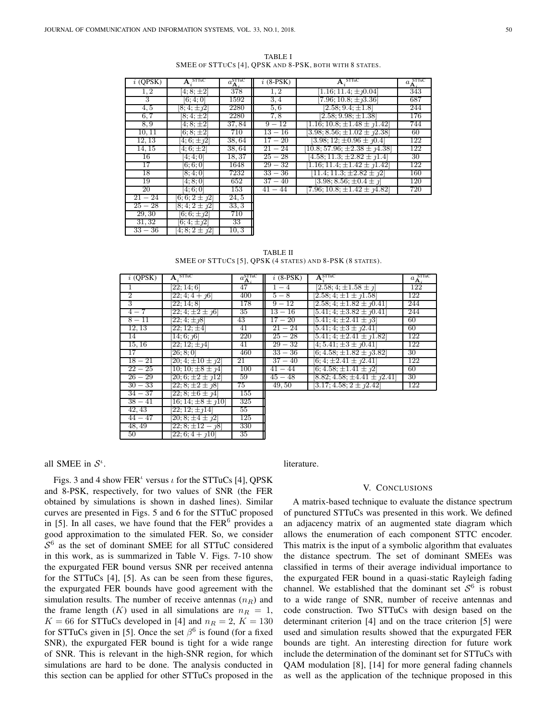$33 - 36$  [4; 8;  $2 \pm j2$ ] 10, 3

50  $[22; 6; 4 + j10]$  35

TABLE I SMEE OF STTUCS [4], QPSK AND 8-PSK, BOTH WITH 8 STATES.

| $i$ (QPSK) | <b>STITC</b>       | $a_{\mathbf{A}_i}^{\text{STIuc}}$ | $i$ (8-PSK) | <b>STILC</b><br>А.                       | <b>STITC</b><br>$a_{\underline{\mathbf{A}}_j}$ |
|------------|--------------------|-----------------------------------|-------------|------------------------------------------|------------------------------------------------|
| 1, 2       | $[4; 8; \pm 2]$    | 378                               | 1, 2        | 1.16; 11.4; $\pm$ $\eta$ 0.04            | 343                                            |
| 3          | 6:4:0              | 1592                              | 3,4         | 7.96; 10.8; $\pm$ <sub>1</sub> 3.36]     | 687                                            |
| 4, 5       | $[8; 4; \pm 12]$   | 2280                              | 5,6         | $[2.58; 9.4; \pm 1.8]$                   | 244                                            |
| 6, 7       | $[8; 4; \pm 2]$    | 2280                              | 7,8         | $[2.58; 9.98; \pm 1.38]$                 | 176                                            |
| 8,9        | $4:8;\pm 2$        | 37,84                             | $9 - 12$    | $1.16; 10.8; \pm 1.48 \pm 1.42$          | 744                                            |
| 10, 11     | $[6; 8; \pm 2]$    | 710                               | $13 - 16$   | $3.98; 8.56; \pm 1.02 \pm 1.2.38$        | 60                                             |
| 12, 13     | $4, 6, \pm 12$     | 38,64                             | $17 - 20$   | $[3.98; 12; \pm 0.96 \pm \textit{10.4}]$ | 122                                            |
| 14, 15     | $4;6;\pm 2$        | 38,64                             | $21 - 24$   | $10.8$ ; 57.96; $\pm 2.38 \pm 1.38$      | 122                                            |
| 16         | 4; 4; 0            | 18,37                             | $25 - 28$   | $4.58$ ; 11.3; $\pm 2.82 \pm 1.4$        | 30                                             |
| 17         | [6;6;0]            | 1648                              | $29 - 32$   | 1.16; 11.4; $\pm 1.42 \pm 1.42$          | 122                                            |
| 18         | [8; 4; 0]          | 7232                              | $33 - 36$   | $[11.4; 11.3; \pm 2.82; \pm 1.2]$        | 160                                            |
| 19         | [4;8;0]            | 652                               | $37 - 40$   | $[3.98; 8.56; \pm 0.4 \pm j]$            | 120                                            |
| 20         | 4;6;0              | 153                               | $41 - 44$   | $[7.96; 10.8; \pm 1.42; \pm 1.42]$       | 720                                            |
| $21 - 24$  | $[6; 6; 2 \pm 12]$ | 24,5                              |             |                                          |                                                |
| $25 - 28$  | $8; 4; 2 \pm 12$   | 33, 3                             |             |                                          |                                                |
| 29,30      | $[6, 6, \pm 12]$   | 710                               |             |                                          |                                                |
| 31.32      | 6: 4: $+21$        | 33                                |             |                                          |                                                |

| $i$ (QPSK) | $\mathbf{A}_{s}$ STTuC                        | $a_{\mathbf{A}_i}^{\text{STTuC}}$ | $i$ (8-PSK) | $\mathbf{A}_i^{\text{STTuC}}$         | $a_{\underline{\mathbf{A}}_j}^{\text{STTuC}}$ |
|------------|-----------------------------------------------|-----------------------------------|-------------|---------------------------------------|-----------------------------------------------|
|            | [22; 14; 6]                                   | 47                                | $1 - 4$     | $[2.58; 4; \pm 1.58 \pm \eta]$        | 122                                           |
| 2          | $22; 4; 4 + \eta 6$                           | 400                               | $5-8$       | $[2.58; 4; \pm 1 \pm 1.58]$           | 122                                           |
| 3          | [22; 14; 8]                                   | 178                               | $9 - 12$    | $2.58; 4; \pm 1.82 \pm 1.041$         | 244                                           |
| $4 - 7$    | $[22; 4; \pm 2 \pm j6]$                       | 35                                | $13 - 16$   | $[5.41; 4; \pm 3.82 \pm 10.41]$       | 244                                           |
| $8 - 11$   | $\sqrt{22, 4}$ ; $\pm$ 18                     | 43                                | $17 - 20$   | $[5.41; 4; \pm 2.41 \pm 1.2]$         | 60                                            |
| 12, 13     | $[22; 12; \pm 4]$                             | 41                                | $21 - 24$   | $[5.41; 4; \pm 3 \pm 12.41]$          | 60                                            |
| 14         | $\overline{14}$ ; 6; $\eta$ 6                 | 220                               | $25 - 28$   | $[5.41; 4; \pm 2.41 \pm 1.82]$        | 122                                           |
| 15, 16     | $\sqrt{22}$ ; 12; $\pm$ <i>j</i> 4 $\sqrt{2}$ | 41                                | $29 - 32$   | $[4; 5.41; \pm 3 \pm \textit{1}0.41]$ | 122                                           |
| 17         | [26; 8; 0]                                    | 460                               | $33 - 36$   | $[6; 4.58; \pm 1.82 \pm 1.82]$        | 30                                            |
| $18 - 21$  | $[20; 4; \pm 10 \pm 12]$                      | 21                                | $37 - 40$   | $[6; 4; \pm 2.41 \pm \textit{12.41}]$ | 122                                           |
| $22 - 25$  | 10; 10; $\pm 8 \pm 14$                        | 100                               | $41 - 44$   | $[6; 4.58; \pm 1.41 \pm 1.2]$         | 60                                            |
| $26 - 29$  | $20; 6; \pm 2 \pm 12$                         | 59                                | $45 - 48$   | $(8.82, 4.58, \pm 4.41 \pm 2.41)$     | 30                                            |
| $30 - 33$  | $22; 8; \pm 2 \pm 12$                         | 75                                | 49,50       | $[3.17; 4.58; 2 \pm \frac{1}{2.42}]$  | 122                                           |
| $34 - 37$  | $22; 8; \pm 6 \pm 14$                         | 155                               |             |                                       |                                               |
| $38 - 41$  | 16; 14; $\pm 8 \pm 10$                        | 325                               |             |                                       |                                               |
| 42, 43     | $22; 12; \pm 14$                              | 55                                |             |                                       |                                               |
| $44 - 47$  | $[20; 8; \pm 4 \pm 12]$                       | 125                               |             |                                       |                                               |
| 48, 49     | $[22; 8; \pm 12 - 18]$                        | 330                               |             |                                       |                                               |

TABLE II SMEE OF STTUCS [5], QPSK (4 STATES) AND 8-PSK (8 STATES).

# all SMEE in  $S^{\iota}$ .

Figs. 3 and 4 show FER<sup> $t$ </sup> versus  $t$  for the STTuCs [4], QPSK and 8-PSK, respectively, for two values of SNR (the FER obtained by simulations is shown in dashed lines). Similar curves are presented in Figs. 5 and 6 for the STTuC proposed in [5]. In all cases, we have found that the  $FER<sup>6</sup>$  provides a good approximation to the simulated FER. So, we consider  $S<sup>6</sup>$  as the set of dominant SMEE for all STTuC considered in this work, as is summarized in Table V. Figs. 7-10 show the expurgated FER bound versus SNR per received antenna for the STTuCs [4], [5]. As can be seen from these figures, the expurgated FER bounds have good agreement with the simulation results. The number of receive antennas  $(n_R)$  and the frame length  $(K)$  used in all simulations are  $n_R = 1$ ,  $K = 66$  for STTuCs developed in [4] and  $n_R = 2$ ,  $K = 130$ for STTuCs given in [5]. Once the set  $\beta^6$  is found (for a fixed SNR), the expurgated FER bound is tight for a wide range of SNR. This is relevant in the high-SNR region, for which simulations are hard to be done. The analysis conducted in this section can be applied for other STTuCs proposed in the

#### literature.

# V. CONCLUSIONS

A matrix-based technique to evaluate the distance spectrum of punctured STTuCs was presented in this work. We defined an adjacency matrix of an augmented state diagram which allows the enumeration of each component STTC encoder. This matrix is the input of a symbolic algorithm that evaluates the distance spectrum. The set of dominant SMEEs was classified in terms of their average individual importance to the expurgated FER bound in a quasi-static Rayleigh fading channel. We established that the dominant set  $S^6$  is robust to a wide range of SNR, number of receive antennas and code construction. Two STTuCs with design based on the determinant criterion [4] and on the trace criterion [5] were used and simulation results showed that the expurgated FER bounds are tight. An interesting direction for future work include the determination of the dominant set for STTuCs with QAM modulation [8], [14] for more general fading channels as well as the application of the technique proposed in this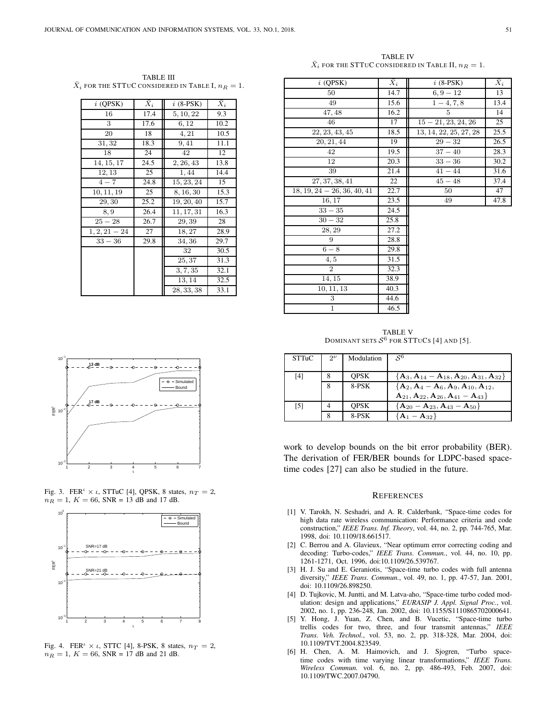TABLE IV  $\bar{X}_i$  for the STTUC considered in Table II,  $n_R=1$ .

| $i$ (QPSK)      | $X_i$ | $i$ (8-PSK) | $X_i$ |
|-----------------|-------|-------------|-------|
| 16              | 17.4  | 5, 10, 22   | 9.3   |
| 3               | 17.6  | 6,12        | 10.2  |
| 20              | 18    | 4, 21       | 10.5  |
| 31,32           | 18.3  | 9,41        | 11.1  |
| 18              | 24    | 42          | 12    |
| 14, 15, 17      | 24.5  | 2, 26, 43   | 13.8  |
| 12, 13          | 25    | 1,44        | 14.4  |
| $4 - 7$         | 24.8  | 15, 23, 24  | 15    |
| 10, 11, 19      | 25    | 8, 16, 30   | 15.3  |
| 29, 30          | 25.2  | 19, 20, 40  | 15.7  |
| 8,9             | 26.4  | 11, 17, 31  | 16.3  |
| $25 - 28$       | 26.7  | 29,39       | 28    |
| $1, 2, 21 - 24$ | 27    | 18,27       | 28.9  |
| $33 - 36$       | 29.8  | 34,36       | 29.7  |
|                 |       | 32          | 30.5  |
|                 |       | 25,37       | 31.3  |
|                 |       | 3, 7, 35    | 32.1  |
|                 |       | 13,14       | 32.5  |
|                 |       | 28, 33, 38  | 33.1  |

TABLE III  $\bar{X}_i$  for the STTuC considered in Table I,  $n_R=1$ .

| $i$ (QPSK)                    | $\bar{X}_i$ | $i$ (8-PSK)            | $\bar{X}_i$       |
|-------------------------------|-------------|------------------------|-------------------|
| 50                            | 14.7        | $6, 9 - 12$            | 13                |
| 49                            | 15.6        | $1 - 4, 7, 8$          | 13.4              |
| 47, 48                        | 16.2        | 5                      | 14                |
| 46                            | 17          | $15 - 21, 23, 24, 26$  | 25                |
| 22, 23, 43, 45                | 18.5        | 13, 14, 22, 25, 27, 28 | 25.5              |
| 20, 21, 44                    | 19          | $29 - 32$              | 26.5              |
| 42                            | 19.5        | $37 - 40$              | 28.3              |
| 12                            | 20.3        | $33 - 36$              | 30.2              |
| 39                            | 21.4        | $41 - 44$              | $\overline{31.6}$ |
| 27, 37, 38, 41                | 22          | $45 - 48$              | 37.4              |
| $18, 19, 24 - 26, 36, 40, 41$ | 22.7        | 50                     | 47                |
| 16, 17                        | 23.5        | 49                     | 47.8              |
| $33 - 35$                     | 24.5        |                        |                   |
| $30 - 32$                     | 25.8        |                        |                   |
| 28, 29                        | 27.2        |                        |                   |
| 9                             | 28.8        |                        |                   |
| $6-8$                         | 29.8        |                        |                   |
| 4, 5                          | 31.5        |                        |                   |
| $\overline{2}$                | 32.3        |                        |                   |
| 14, 15                        | 38.9        |                        |                   |
| 10, 11, 13                    | 40.3        |                        |                   |
| 3                             | 44.6        |                        |                   |
| $\mathbf{1}$                  | 46.5        |                        |                   |

TABLE V DOMINANT SETS  $\mathcal{S}^6$  for STTUCs [4] and [5].

| STTuC             | $2^{\nu}$ | Modulation  | $\mathcal{S}^6$                                  |
|-------------------|-----------|-------------|--------------------------------------------------|
|                   |           |             |                                                  |
| [4]               | 8         | <b>OPSK</b> | ${A_3, A_{14} - A_{18}, A_{20}, A_{31}, A_{32}}$ |
|                   | 8         | 8-PSK       | ${A_2, A_4 - A_6, A_9, A_{10}, A_{12}},$         |
|                   |           |             | $A_{21}, A_{22}, A_{26}, A_{41} - A_{43}$        |
| $\lceil 5 \rceil$ |           | <b>OPSK</b> | ${A_{20} - A_{23}, A_{43} - A_{50}}$             |
|                   |           | 8-PSK       | $\mathbf{A}_1 - \mathbf{A}_{32}$                 |

work to develop bounds on the bit error probability (BER). The derivation of FER/BER bounds for LDPC-based spacetime codes [27] can also be studied in the future.

#### **REFERENCES**

- [1] V. Tarokh, N. Seshadri, and A. R. Calderbank, "Space-time codes for high data rate wireless communication: Performance criteria and code construction," *IEEE Trans. Inf. Theory*, vol. 44, no. 2, pp. 744-765, Mar. 1998, doi: 10.1109/18.661517.
- [2] C. Berrou and A. Glavieux, "Near optimum error correcting coding and decoding: Turbo-codes," *IEEE Trans. Commun.*, vol. 44, no. 10, pp. 1261-1271, Oct. 1996, doi:10.1109/26.539767.
- [3] H. J. Su and E. Geraniotis, "Space-time turbo codes with full antenna diversity," *IEEE Trans. Commun.*, vol. 49, no. 1, pp. 47-57, Jan. 2001, doi: 10.1109/26.898250.
- [4] D. Tujkovic, M. Juntti, and M. Latva-aho, "Space-time turbo coded modulation: design and applications," *EURASIP J. Appl. Signal Proc.*, vol. 2002, no. 1, pp. 236-248, Jan. 2002, doi: 10.1155/S1110865702000641.
- [5] Y. Hong, J. Yuan, Z. Chen, and B. Vucetic, "Space-time turbo trellis codes for two, three, and four transmit antennas," *IEEE Trans. Veh. Technol.*, vol. 53, no. 2, pp. 318-328, Mar. 2004, doi: 10.1109/TVT.2004.823549.
- [6] H. Chen, A. M. Haimovich, and J. Sjogren, "Turbo spacetime codes with time varying linear transformations," *IEEE Trans. Wireless Commun.* vol. 6, no. 2, pp. 486-493, Feb. 2007, doi: 10.1109/TWC.2007.04790.



Fig. 3. FER<sup> $t \times t$ </sup>, STTuC [4], QPSK, 8 states,  $n_T = 2$ ,  $n_R = 1, K = 66$ , SNR = 13 dB and 17 dB.



Fig. 4. FER<sup> $\iota$ </sup>  $\times$   $\iota$ , STTC [4], 8-PSK, 8 states,  $n_T = 2$ ,  $n_R = 1, K = 66$ , SNR = 17 dB and 21 dB.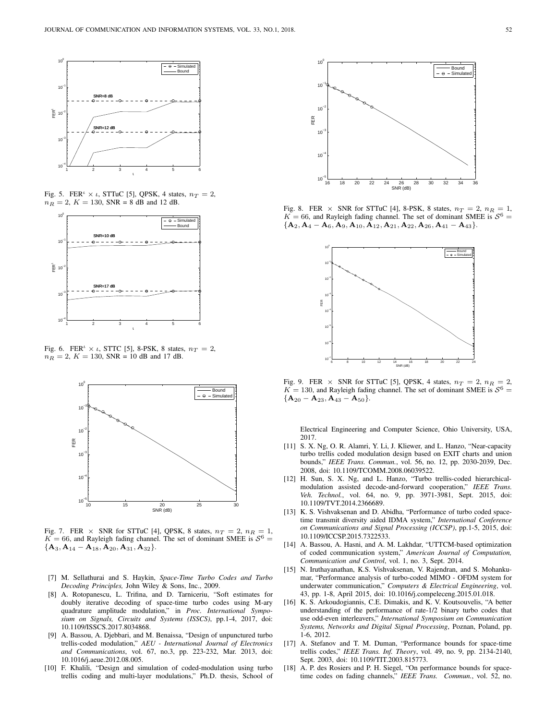

Fig. 5. FER<sup> $\iota$ </sup>  $\times$   $\iota$ , STTuC [5], QPSK, 4 states,  $n_T = 2$ ,  $n_R = 2, K = 130, SNR = 8$  dB and 12 dB.



Fig. 6. FER<sup> $\iota$ </sup>  $\times$   $\iota$ , STTC [5], 8-PSK, 8 states,  $n_T = 2$ ,  $n_R = 2$ ,  $K = 130$ , SNR = 10 dB and 17 dB.



Fig. 7. FER  $\times$  SNR for STTuC [4], QPSK, 8 states,  $n_T = 2$ ,  $n_R = 1$ ,  $K = 66$ , and Rayleigh fading channel. The set of dominant SMEE is  $S^6 =$  ${A_3, A_{14} - A_{18}, A_{20}, A_{31}, A_{32}.}$ 

- [7] M. Sellathurai and S. Haykin, *Space-Time Turbo Codes and Turbo Decoding Principles,* John Wiley & Sons, Inc., 2009.
- [8] A. Rotopanescu, L. Trifina, and D. Tarniceriu, "Soft estimates for doubly iterative decoding of space-time turbo codes using M-ary quadrature amplitude modulation," in *Proc. International Symposium on Signals, Circuits and Systems (ISSCS)*, pp.1-4, 2017, doi: 10.1109/ISSCS.2017.8034868.
- [9] A. Bassou, A. Djebbari, and M. Benaissa, "Design of unpunctured turbo trellis-coded modulation," *AEU - International Journal of Electronics and Communications*, vol. 67, no.3, pp. 223-232, Mar. 2013, doi: 10.1016/j.aeue.2012.08.005.
- [10] F. Khalili, "Design and simulation of coded-modulation using turbo trellis coding and multi-layer modulations," Ph.D. thesis, School of



Fig. 8. FER  $\times$  SNR for STTuC [4], 8-PSK, 8 states,  $n_T = 2$ ,  $n_R = 1$ ,  $K = 66$ , and Rayleigh fading channel. The set of dominant SMEE is  $S^6 =$  ${A_2, A_4 - A_6, A_9, A_{10}, A_{12}, A_{21}, A_{22}, A_{26}, A_{41} - A_{43}}.$ 



Fig. 9. FER  $\times$  SNR for STTuC [5], QPSK, 4 states,  $n_T = 2$ ,  $n_R = 2$ ,  $K = 130$ , and Rayleigh fading channel. The set of dominant SMEE is  $S^6 =$  ${A_{20} - A_{23}, A_{43} - A_{50}}.$ 

Electrical Engineering and Computer Science, Ohio University, USA, 2017.

- [11] S. X. Ng, O. R. Alamri, Y. Li, J. Kliewer, and L. Hanzo, "Near-capacity turbo trellis coded modulation design based on EXIT charts and union bounds," *IEEE Trans. Commun.*, vol. 56, no. 12, pp. 2030-2039, Dec. 2008, doi: 10.1109/TCOMM.2008.06039522.
- [12] H. Sun, S. X. Ng, and L. Hanzo, "Turbo trellis-coded hierarchicalmodulation assisted decode-and-forward cooperation," *IEEE Trans. Veh. Technol.*, vol. 64, no. 9, pp. 3971-3981, Sept. 2015, doi: 10.1109/TVT.2014.2366689.
- [13] K. S. Vishvaksenan and D. Abidha, "Performance of turbo coded spacetime transmit diversity aided IDMA system," *International Conference on Communications and Signal Processing (ICCSP)*, pp.1-5, 2015, doi: 10.1109/ICCSP.2015.7322533.
- [14] A. Bassou, A. Hasni, and A. M. Lakhdar, "UTTCM-based optimization of coded communication system," *American Journal of Computation, Communication and Control*, vol. 1, no. 3, Sept. 2014.
- [15] N. Iruthayanathan, K.S. Vishvaksenan, V. Rajendran, and S. Mohankumar, "Performance analysis of turbo-coded MIMO - OFDM system for underwater communication," *Computers & Electrical Engineering*, vol. 43, pp. 1-8, April 2015, doi: 10.1016/j.compeleceng.2015.01.018.
- [16] K. S. Arkoudogiannis, C.E. Dimakis, and K. V. Koutsouvelis, "A better understanding of the performance of rate-1/2 binary turbo codes that use odd-even interleavers," *International Symposium on Communication Systems, Networks and Digital Signal Processing*, Poznan, Poland, pp. 1-6, 2012.
- [17] A. Stefanov and T. M. Duman, "Performance bounds for space-time trellis codes," *IEEE Trans. Inf. Theory*, vol. 49, no. 9, pp. 2134-2140, Sept. 2003, doi: 10.1109/TIT.2003.815773.
- [18] A. P. des Rosiers and P. H. Siegel, "On performance bounds for spacetime codes on fading channels," *IEEE Trans. Commun.*, vol. 52, no.